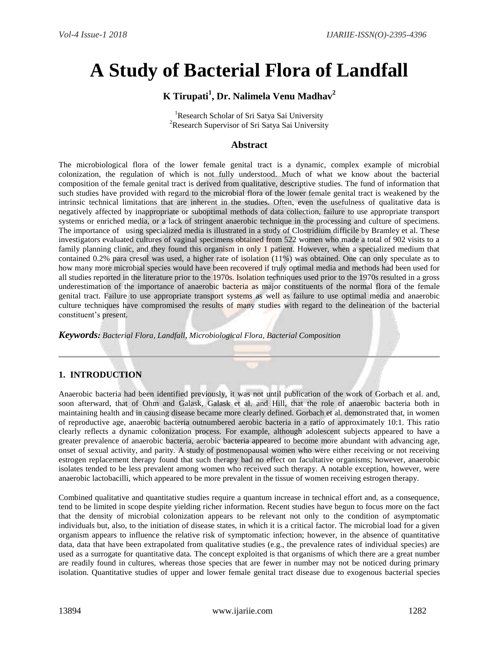# **A Study of Bacterial Flora of Landfall**

# **K Tirupati<sup>1</sup> , Dr. Nalimela Venu Madhav<sup>2</sup>**

<sup>1</sup>Research Scholar of Sri Satya Sai University <sup>2</sup>Research Supervisor of Sri Satya Sai University

# **Abstract**

The microbiological flora of the lower female genital tract is a dynamic, complex example of microbial colonization, the regulation of which is not fully understood. Much of what we know about the bacterial composition of the female genital tract is derived from qualitative, descriptive studies. The fund of information that such studies have provided with regard to the microbial flora of the lower female genital tract is weakened by the intrinsic technical limitations that are inherent in the studies. Often, even the usefulness of qualitative data is negatively affected by inappropriate or suboptimal methods of data collection, failure to use appropriate transport systems or enriched media, or a lack of stringent anaerobic technique in the processing and culture of specimens. The importance of using specialized media is illustrated in a study of Clostridium difficile by Bramley et al. These investigators evaluated cultures of vaginal specimens obtained from 522 women who made a total of 902 visits to a family planning clinic, and they found this organism in only 1 patient. However, when a specialized medium that contained 0.2% para cresol was used, a higher rate of isolation (11%) was obtained. One can only speculate as to how many more microbial species would have been recovered if truly optimal media and methods had been used for all studies reported in the literature prior to the 1970s. Isolation techniques used prior to the 1970s resulted in a gross underestimation of the importance of anaerobic bacteria as major constituents of the normal flora of the female genital tract. Failure to use appropriate transport systems as well as failure to use optimal media and anaerobic culture techniques have compromised the results of many studies with regard to the delineation of the bacterial constituent's present.

*Keywords: Bacterial Flora, Landfall, Microbiological Flora, Bacterial Composition*

# **1. INTRODUCTION**

Anaerobic bacteria had been identified previously, it was not until publication of the work of Gorbach et al. and, soon afterward, that of Ohm and Galask, Galask et al. and Hill, that the role of anaerobic bacteria both in maintaining health and in causing disease became more clearly defined. Gorbach et al. demonstrated that, in women of reproductive age, anaerobic bacteria outnumbered aerobic bacteria in a ratio of approximately 10:1. This ratio clearly reflects a dynamic colonization process. For example, although adolescent subjects appeared to have a greater prevalence of anaerobic bacteria, aerobic bacteria appeared to become more abundant with advancing age, onset of sexual activity, and parity. A study of postmenopausal women who were either receiving or not receiving estrogen replacement therapy found that such therapy had no effect on facultative organisms; however, anaerobic isolates tended to be less prevalent among women who received such therapy. A notable exception, however, were anaerobic lactobacilli, which appeared to be more prevalent in the tissue of women receiving estrogen therapy.

Combined qualitative and quantitative studies require a quantum increase in technical effort and, as a consequence, tend to be limited in scope despite yielding richer information. Recent studies have begun to focus more on the fact that the density of microbial colonization appears to be relevant not only to the condition of asymptomatic individuals but, also, to the initiation of disease states, in which it is a critical factor. The microbial load for a given organism appears to influence the relative risk of symptomatic infection; however, in the absence of quantitative data, data that have been extrapolated from qualitative studies (e.g., the prevalence rates of individual species) are used as a surrogate for quantitative data. The concept exploited is that organisms of which there are a great number are readily found in cultures, whereas those species that are fewer in number may not be noticed during primary isolation. Quantitative studies of upper and lower female genital tract disease due to exogenous bacterial species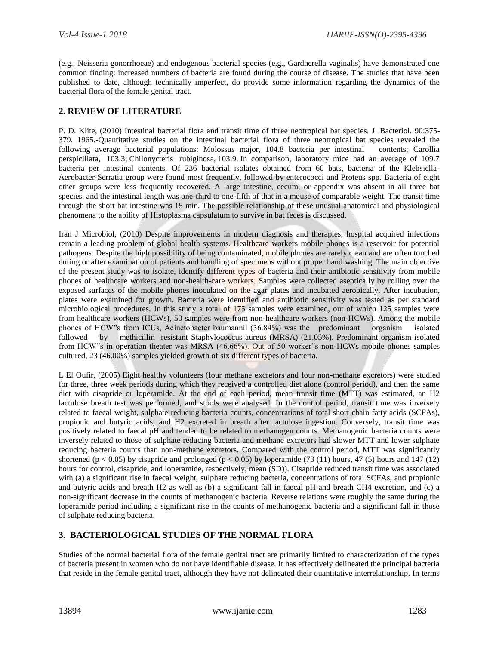(e.g., Neisseria gonorrhoeae) and endogenous bacterial species (e.g., Gardnerella vaginalis) have demonstrated one common finding: increased numbers of bacteria are found during the course of disease. The studies that have been published to date, although technically imperfect, do provide some information regarding the dynamics of the bacterial flora of the female genital tract.

### **2. REVIEW OF LITERATURE**

P. D. Klite, (2010) Intestinal bacterial flora and transit time of three neotropical bat species. J. Bacteriol. 90:375- 379. 1965.-Quantitative studies on the intestinal bacterial flora of three neotropical bat species revealed the following average bacterial populations: Molossus major, 104.8 bacteria per intestinal contents; Carollia perspicillata, 103.3; Chilonycteris rubiginosa, 103.9. In comparison, laboratory mice had an average of 109.7 bacteria per intestinal contents. Of 236 bacterial isolates obtained from 60 bats, bacteria of the Klebsiella-Aerobacter-Serratia group were found most frequently, followed by enterococci and Proteus spp. Bacteria of eight other groups were less frequently recovered. A large intestine, cecum, or appendix was absent in all three bat species, and the intestinal length was one-third to one-fifth of that in a mouse of comparable weight. The transit time through the short bat intestine was 15 min. The possible relationship of these unusual anatomical and physiological phenomena to the ability of Histoplasma capsulatum to survive in bat feces is discussed.

Iran J Microbiol, (2010) Despite improvements in modern diagnosis and therapies, hospital acquired infections remain a leading problem of global health systems. Healthcare workers mobile phones is a reservoir for potential pathogens. Despite the high possibility of being contaminated, mobile phones are rarely clean and are often touched during or after examination of patients and handling of specimens without proper hand washing. The main objective of the present study was to isolate, identify different types of bacteria and their antibiotic sensitivity from mobile phones of healthcare workers and non-health-care workers. Samples were collected aseptically by rolling over the exposed surfaces of the mobile phones inoculated on the agar plates and incubated aerobically. After incubation, plates were examined for growth. Bacteria were identified and antibiotic sensitivity was tested as per standard microbiological procedures. In this study a total of 175 samples were examined, out of which 125 samples were from healthcare workers (HCWs), 50 samples were from non-healthcare workers (non-HCWs). Among the mobile phones of HCW"s from ICUs, Acinetobacter baumannii (36.84%) was the predominant organism isolated followed by methicillin resistant Staphylococcus aureus (MRSA) (21.05%). Predominant organism isolated from HCW"s in operation theater was MRSA (46.66%). Out of 50 worker"s non-HCWs mobile phones samples cultured, 23 (46.00%) samples yielded growth of six different types of bacteria.

L El Oufir, (2005) Eight healthy volunteers (four methane excretors and four non-methane excretors) were studied for three, three week periods during which they received a controlled diet alone (control period), and then the same diet with cisapride or loperamide. At the end of each period, mean transit time (MTT) was estimated, an H2 lactulose breath test was performed, and stools were analysed. In the control period, transit time was inversely related to faecal weight, sulphate reducing bacteria counts, concentrations of total short chain fatty acids (SCFAs), propionic and butyric acids, and H2 excreted in breath after lactulose ingestion. Conversely, transit time was positively related to faecal pH and tended to be related to methanogen counts. Methanogenic bacteria counts were inversely related to those of sulphate reducing bacteria and methane excretors had slower MTT and lower sulphate reducing bacteria counts than non-methane excretors. Compared with the control period, MTT was significantly shortened (p < 0.05) by cisapride and prolonged (p < 0.05) by loperamide (73 (11) hours, 47 (5) hours and 147 (12) hours for control, cisapride, and loperamide, respectively, mean (SD)). Cisapride reduced transit time was associated with (a) a significant rise in faecal weight, sulphate reducing bacteria, concentrations of total SCFAs, and propionic and butyric acids and breath H2 as well as (b) a significant fall in faecal pH and breath CH4 excretion, and (c) a non-significant decrease in the counts of methanogenic bacteria. Reverse relations were roughly the same during the loperamide period including a significant rise in the counts of methanogenic bacteria and a significant fall in those of sulphate reducing bacteria.

## **3. BACTERIOLOGICAL STUDIES OF THE NORMAL FLORA**

Studies of the normal bacterial flora of the female genital tract are primarily limited to characterization of the types of bacteria present in women who do not have identifiable disease. It has effectively delineated the principal bacteria that reside in the female genital tract, although they have not delineated their quantitative interrelationship. In terms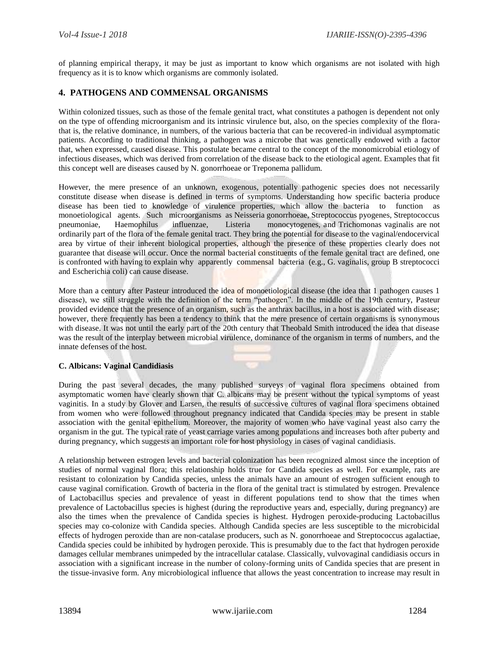of planning empirical therapy, it may be just as important to know which organisms are not isolated with high frequency as it is to know which organisms are commonly isolated.

## **4. PATHOGENS AND COMMENSAL ORGANISMS**

Within colonized tissues, such as those of the female genital tract, what constitutes a pathogen is dependent not only on the type of offending microorganism and its intrinsic virulence but, also, on the species complexity of the florathat is, the relative dominance, in numbers, of the various bacteria that can be recovered-in individual asymptomatic patients. According to traditional thinking, a pathogen was a microbe that was genetically endowed with a factor that, when expressed, caused disease. This postulate became central to the concept of the monomicrobial etiology of infectious diseases, which was derived from correlation of the disease back to the etiological agent. Examples that fit this concept well are diseases caused by N. gonorrhoeae or Treponema pallidum.

However, the mere presence of an unknown, exogenous, potentially pathogenic species does not necessarily constitute disease when disease is defined in terms of symptoms. Understanding how specific bacteria produce disease has been tied to knowledge of virulence properties, which allow the bacteria to function as monoetiological agents. Such microorganisms as Neisseria gonorrhoeae, Streptococcus pyogenes, Streptococcus pneumoniae, Haemophilus influenzae, Listeria monocytogenes, and Trichomonas vaginalis are not ordinarily part of the flora of the female genital tract. They bring the potential for disease to the vaginal/endocervical area by virtue of their inherent biological properties, although the presence of these properties clearly does not guarantee that disease will occur. Once the normal bacterial constituents of the female genital tract are defined, one is confronted with having to explain why apparently commensal bacteria (e.g., G. vaginalis, group B streptococci and Escherichia coli) can cause disease.

More than a century after Pasteur introduced the idea of monoetiological disease (the idea that 1 pathogen causes 1 disease), we still struggle with the definition of the term "pathogen". In the middle of the 19th century, Pasteur provided evidence that the presence of an organism, such as the anthrax bacillus, in a host is associated with disease; however, there frequently has been a tendency to think that the mere presence of certain organisms is synonymous with disease. It was not until the early part of the 20th century that Theobald Smith introduced the idea that disease was the result of the interplay between microbial virulence, dominance of the organism in terms of numbers, and the innate defenses of the host.

#### **C. Albicans: Vaginal Candidiasis**

During the past several decades, the many published surveys of vaginal flora specimens obtained from asymptomatic women have clearly shown that C. albicans may be present without the typical symptoms of yeast vaginitis. In a study by Glover and Larsen, the results of successive cultures of vaginal flora specimens obtained from women who were followed throughout pregnancy indicated that Candida species may be present in stable association with the genital epithelium. Moreover, the majority of women who have vaginal yeast also carry the organism in the gut. The typical rate of yeast carriage varies among populations and increases both after puberty and during pregnancy, which suggests an important role for host physiology in cases of vaginal candidiasis.

A relationship between estrogen levels and bacterial colonization has been recognized almost since the inception of studies of normal vaginal flora; this relationship holds true for Candida species as well. For example, rats are resistant to colonization by Candida species, unless the animals have an amount of estrogen sufficient enough to cause vaginal cornification. Growth of bacteria in the flora of the genital tract is stimulated by estrogen. Prevalence of Lactobacillus species and prevalence of yeast in different populations tend to show that the times when prevalence of Lactobacillus species is highest (during the reproductive years and, especially, during pregnancy) are also the times when the prevalence of Candida species is highest. Hydrogen peroxide-producing Lactobacillus species may co-colonize with Candida species. Although Candida species are less susceptible to the microbicidal effects of hydrogen peroxide than are non-catalase producers, such as N. gonorrhoeae and Streptococcus agalactiae, Candida species could be inhibited by hydrogen peroxide. This is presumably due to the fact that hydrogen peroxide damages cellular membranes unimpeded by the intracellular catalase. Classically, vulvovaginal candidiasis occurs in association with a significant increase in the number of colony-forming units of Candida species that are present in the tissue-invasive form. Any microbiological influence that allows the yeast concentration to increase may result in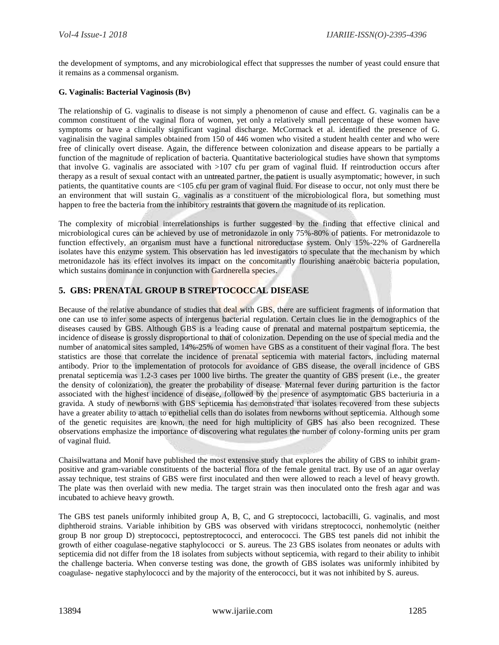the development of symptoms, and any microbiological effect that suppresses the number of yeast could ensure that it remains as a commensal organism.

#### **G. Vaginalis: Bacterial Vaginosis (Bv)**

The relationship of G. vaginalis to disease is not simply a phenomenon of cause and effect. G. vaginalis can be a common constituent of the vaginal flora of women, yet only a relatively small percentage of these women have symptoms or have a clinically significant vaginal discharge. McCormack et al. identified the presence of G. vaginalisin the vaginal samples obtained from 150 of 446 women who visited a student health center and who were free of clinically overt disease. Again, the difference between colonization and disease appears to be partially a function of the magnitude of replication of bacteria. Quantitative bacteriological studies have shown that symptoms that involve G. vaginalis are associated with >107 cfu per gram of vaginal fluid. If reintroduction occurs after therapy as a result of sexual contact with an untreated partner, the patient is usually asymptomatic; however, in such patients, the quantitative counts are <105 cfu per gram of vaginal fluid. For disease to occur, not only must there be an environment that will sustain G. vaginalis as a constituent of the microbiological flora, but something must happen to free the bacteria from the inhibitory restraints that govern the magnitude of its replication.

The complexity of microbial interrelationships is further suggested by the finding that effective clinical and microbiological cures can be achieved by use of metronidazole in only 75%-80% of patients. For metronidazole to function effectively, an organism must have a functional nitroreductase system. Only 15%-22% of Gardnerella isolates have this enzyme system. This observation has led investigators to speculate that the mechanism by which metronidazole has its effect involves its impact on the concomitantly flourishing anaerobic bacteria population, which sustains dominance in conjunction with Gardnerella species.

# **5. GBS: PRENATAL GROUP B STREPTOCOCCAL DISEASE**

Because of the relative abundance of studies that deal with GBS, there are sufficient fragments of information that one can use to infer some aspects of intergenus bacterial regulation. Certain clues lie in the demographics of the diseases caused by GBS. Although GBS is a leading cause of prenatal and maternal postpartum septicemia, the incidence of disease is grossly disproportional to that of colonization. Depending on the use of special media and the number of anatomical sites sampled, 14%-25% of women have GBS as a constituent of their vaginal flora. The best statistics are those that correlate the incidence of prenatal septicemia with material factors, including maternal antibody. Prior to the implementation of protocols for avoidance of GBS disease, the overall incidence of GBS prenatal septicemia was 1.2-3 cases per 1000 live births. The greater the quantity of GBS present (i.e., the greater the density of colonization), the greater the probability of disease. Maternal fever during parturition is the factor associated with the highest incidence of disease, followed by the presence of asymptomatic GBS bacteriuria in a gravida. A study of newborns with GBS septicemia has demonstrated that isolates recovered from these subjects have a greater ability to attach to epithelial cells than do isolates from newborns without septicemia. Although some of the genetic requisites are known, the need for high multiplicity of GBS has also been recognized. These observations emphasize the importance of discovering what regulates the number of colony-forming units per gram of vaginal fluid.

Chaisilwattana and Monif have published the most extensive study that explores the ability of GBS to inhibit grampositive and gram-variable constituents of the bacterial flora of the female genital tract. By use of an agar overlay assay technique, test strains of GBS were first inoculated and then were allowed to reach a level of heavy growth. The plate was then overlaid with new media. The target strain was then inoculated onto the fresh agar and was incubated to achieve heavy growth.

The GBS test panels uniformly inhibited group A, B, C, and G streptococci, lactobacilli, G. vaginalis, and most diphtheroid strains. Variable inhibition by GBS was observed with viridans streptococci, nonhemolytic (neither group B nor group D) streptococci, peptostreptococci, and enterococci. The GBS test panels did not inhibit the growth of either coagulase-negative staphylococci or S. aureus. The 23 GBS isolates from neonates or adults with septicemia did not differ from the 18 isolates from subjects without septicemia, with regard to their ability to inhibit the challenge bacteria. When converse testing was done, the growth of GBS isolates was uniformly inhibited by coagulase- negative staphylococci and by the majority of the enterococci, but it was not inhibited by S. aureus.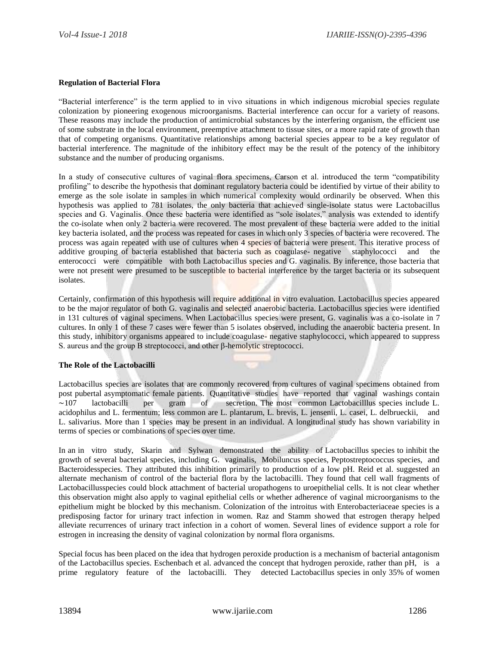#### **Regulation of Bacterial Flora**

"Bacterial interference" is the term applied to in vivo situations in which indigenous microbial species regulate colonization by pioneering exogenous microorganisms. Bacterial interference can occur for a variety of reasons. These reasons may include the production of antimicrobial substances by the interfering organism, the efficient use of some substrate in the local environment, preemptive attachment to tissue sites, or a more rapid rate of growth than that of competing organisms. Quantitative relationships among bacterial species appear to be a key regulator of bacterial interference. The magnitude of the inhibitory effect may be the result of the potency of the inhibitory substance and the number of producing organisms.

In a study of consecutive cultures of vaginal flora specimens, Carson et al. introduced the term "compatibility profiling" to describe the hypothesis that dominant regulatory bacteria could be identified by virtue of their ability to emerge as the sole isolate in samples in which numerical complexity would ordinarily be observed. When this hypothesis was applied to 781 isolates, the only bacteria that achieved single-isolate status were Lactobacillus species and G. Vaginalis. Once these bacteria were identified as "sole isolates," analysis was extended to identify the co-isolate when only 2 bacteria were recovered. The most prevalent of these bacteria were added to the initial key bacteria isolated, and the process was repeated for cases in which only 3 species of bacteria were recovered. The process was again repeated with use of cultures when 4 species of bacteria were present. This iterative process of additive grouping of bacteria established that bacteria such as coagulase- negative staphylococci and the enterococci were compatible with both Lactobacillus species and G. vaginalis. By inference, those bacteria that were not present were presumed to be susceptible to bacterial interference by the target bacteria or its subsequent isolates.

Certainly, confirmation of this hypothesis will require additional in vitro evaluation. Lactobacillus species appeared to be the major regulator of both G. vaginalis and selected anaerobic bacteria. Lactobacillus species were identified in 131 cultures of vaginal specimens. When Lactobacillus species were present, G. vaginalis was a co-isolate in 7 cultures. In only 1 of these 7 cases were fewer than 5 isolates observed, including the anaerobic bacteria present. In this study, inhibitory organisms appeared to include coagulase- negative staphylococci, which appeared to suppress S. aureus and the group B streptococci, and other β-hemolytic streptococci.

#### **The Role of the Lactobacilli**

Lactobacillus species are isolates that are commonly recovered from cultures of vaginal specimens obtained from post pubertal asymptomatic female patients. Quantitative studies have reported that vaginal washings contain ∼107 lactobacilli per gram of secretion. The most common Lactobacilllus species include L. acidophilus and L. fermentum; less common are L. plantarum, L. brevis, L. jensenii, L. casei, L. delbrueckii, and L. salivarius. More than 1 species may be present in an individual. A longitudinal study has shown variability in terms of species or combinations of species over time.

In an in vitro study, Skarin and Sylwan demonstrated the ability of Lactobacillus species to inhibit the growth of several bacterial species, including G. vaginalis, Mobiluncus species, Peptostreptococcus species, and Bacteroidesspecies. They attributed this inhibition primarily to production of a low pH. Reid et al. suggested an alternate mechanism of control of the bacterial flora by the lactobacilli. They found that cell wall fragments of Lactobacillusspecies could block attachment of bacterial uropathogens to uroepithelial cells. It is not clear whether this observation might also apply to vaginal epithelial cells or whether adherence of vaginal microorganisms to the epithelium might be blocked by this mechanism. Colonization of the introitus with Enterobacteriaceae species is a predisposing factor for urinary tract infection in women. Raz and Stamm showed that estrogen therapy helped alleviate recurrences of urinary tract infection in a cohort of women. Several lines of evidence support a role for estrogen in increasing the density of vaginal colonization by normal flora organisms.

Special focus has been placed on the idea that hydrogen peroxide production is a mechanism of bacterial antagonism of the Lactobacillus species. Eschenbach et al. advanced the concept that hydrogen peroxide, rather than pH, is a prime regulatory feature of the lactobacilli. They detected Lactobacillus species in only 35% of women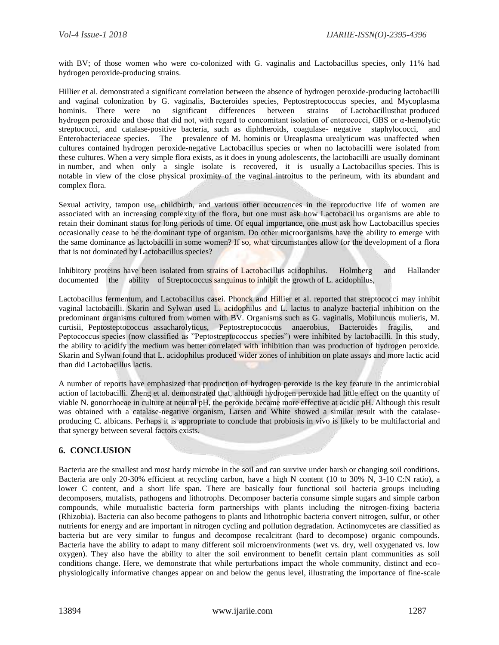with BV; of those women who were co-colonized with G. vaginalis and Lactobacillus species, only 11% had hydrogen peroxide-producing strains.

Hillier et al. demonstrated a significant correlation between the absence of hydrogen peroxide-producing lactobacilli and vaginal colonization by G. vaginalis, Bacteroides species, Peptostreptococcus species, and Mycoplasma hominis. There were no significant differences between strains of Lactobacillusthat produced hydrogen peroxide and those that did not, with regard to concomitant isolation of enterococci, GBS or α-hemolytic streptococci, and catalase-positive bacteria, such as diphtheroids, coagulase- negative staphylococci, and Enterobacteriaceae species. The prevalence of M. hominis or Ureaplasma urealyticum was unaffected when cultures contained hydrogen peroxide-negative Lactobacillus species or when no lactobacilli were isolated from these cultures. When a very simple flora exists, as it does in young adolescents, the lactobacilli are usually dominant in number, and when only a single isolate is recovered, it is usually a Lactobacillus species. This is notable in view of the close physical proximity of the vaginal introitus to the perineum, with its abundant and complex flora.

Sexual activity, tampon use, childbirth, and various other occurrences in the reproductive life of women are associated with an increasing complexity of the flora, but one must ask how Lactobacillus organisms are able to retain their dominant status for long periods of time. Of equal importance, one must ask how Lactobacillus species occasionally cease to be the dominant type of organism. Do other microorganisms have the ability to emerge with the same dominance as lactobacilli in some women? If so, what circumstances allow for the development of a flora that is not dominated by Lactobacillus species?

Inhibitory proteins have been isolated from strains of Lactobacillus acidophilus. Holmberg and Hallander documented the ability of Streptococcus sanguinus to inhibit the growth of L. acidophilus,

Lactobacillus fermentum, and Lactobacillus casei. Phonck and Hillier et al. reported that streptococci may inhibit vaginal lactobacilli. Skarin and Sylwan used L. acidophilus and L. lactus to analyze bacterial inhibition on the predominant organisms cultured from women with BV. Organisms such as G. vaginalis, Mobiluncus mulieris, M. curtisii, Peptosteptococcus assacharolyticus, Peptostreptococcus anaerobius, Bacteroides fragilis, and Peptococcus species (now classified as "Peptostreptococcus species") were inhibited by lactobacilli. In this study, the ability to acidify the medium was better correlated with inhibition than was production of hydrogen peroxide. Skarin and Sylwan found that L. acidophilus produced wider zones of inhibition on plate assays and more lactic acid than did Lactobacillus lactis.

A number of reports have emphasized that production of hydrogen peroxide is the key feature in the antimicrobial action of lactobacilli. Zheng et al. demonstrated that, although hydrogen peroxide had little effect on the quantity of viable N. gonorrhoeae in culture at neutral pH, the peroxide became more effective at acidic pH. Although this result was obtained with a catalase-negative organism, Larsen and White showed a similar result with the catalaseproducing C. albicans. Perhaps it is appropriate to conclude that probiosis in vivo is likely to be multifactorial and that synergy between several factors exists.

# **6. CONCLUSION**

Bacteria are the smallest and most hardy microbe in the soil and can survive under harsh or changing soil conditions. Bacteria are only 20-30% efficient at recycling carbon, have a high N content (10 to 30% N, 3-10 C:N ratio), a lower C content, and a short life span. There are basically four functional soil bacteria groups including decomposers, mutalists, pathogens and lithotrophs. Decomposer bacteria consume simple sugars and simple carbon compounds, while mutualistic bacteria form partnerships with plants including the nitrogen-fixing bacteria (Rhizobia). Bacteria can also become pathogens to plants and lithotrophic bacteria convert nitrogen, sulfur, or other nutrients for energy and are important in nitrogen cycling and pollution degradation. Actinomycetes are classified as bacteria but are very similar to fungus and decompose recalcitrant (hard to decompose) organic compounds. Bacteria have the ability to adapt to many different soil microenvironments (wet vs. dry, well oxygenated vs. low oxygen). They also have the ability to alter the soil environment to benefit certain plant communities as soil conditions change. Here, we demonstrate that while perturbations impact the whole community, distinct and ecophysiologically informative changes appear on and below the genus level, illustrating the importance of fine-scale